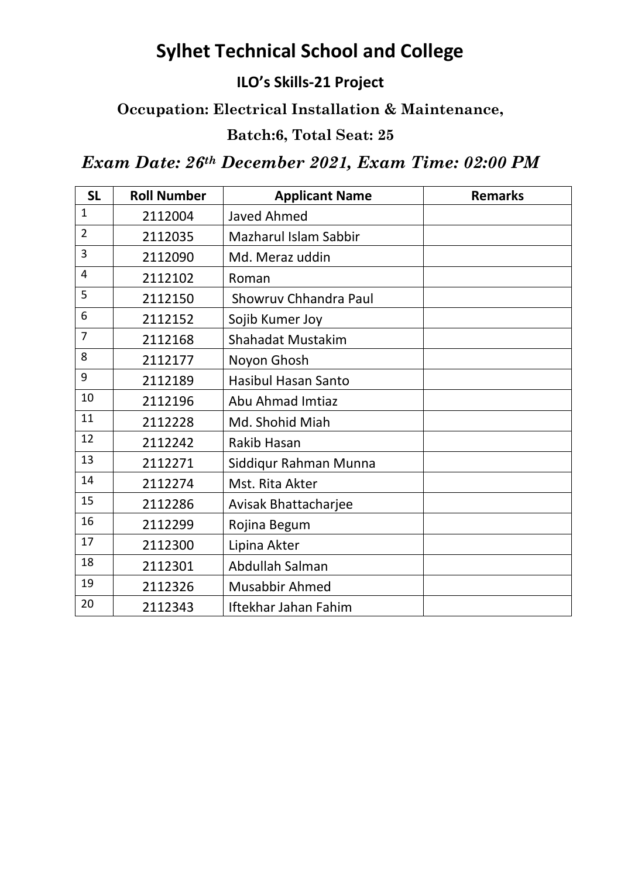# **Sylhet Technical School and College**

#### **ILO's Skills-21 Project**

## **Occupation: Electrical Installation & Maintenance,**

### **Batch:6, Total Seat: 25**

## *Exam Date: 26th December 2021, Exam Time: 02:00 PM*

| <b>SL</b>      | <b>Roll Number</b> | <b>Applicant Name</b>        | <b>Remarks</b> |
|----------------|--------------------|------------------------------|----------------|
| 1              | 2112004            | <b>Javed Ahmed</b>           |                |
| $\overline{2}$ | 2112035            | <b>Mazharul Islam Sabbir</b> |                |
| $\overline{3}$ | 2112090            | Md. Meraz uddin              |                |
| 4              | 2112102            | Roman                        |                |
| 5              | 2112150            | <b>Showruv Chhandra Paul</b> |                |
| 6              | 2112152            | Sojib Kumer Joy              |                |
| $\overline{7}$ | 2112168            | <b>Shahadat Mustakim</b>     |                |
| 8              | 2112177            | Noyon Ghosh                  |                |
| 9              | 2112189            | <b>Hasibul Hasan Santo</b>   |                |
| 10             | 2112196            | Abu Ahmad Imtiaz             |                |
| 11             | 2112228            | Md. Shohid Miah              |                |
| 12             | 2112242            | <b>Rakib Hasan</b>           |                |
| 13             | 2112271            | Siddiqur Rahman Munna        |                |
| 14             | 2112274            | Mst. Rita Akter              |                |
| 15             | 2112286            | Avisak Bhattacharjee         |                |
| 16             | 2112299            | Rojina Begum                 |                |
| 17             | 2112300            | Lipina Akter                 |                |
| 18             | 2112301            | Abdullah Salman              |                |
| 19             | 2112326            | Musabbir Ahmed               |                |
| 20             | 2112343            | Iftekhar Jahan Fahim         |                |